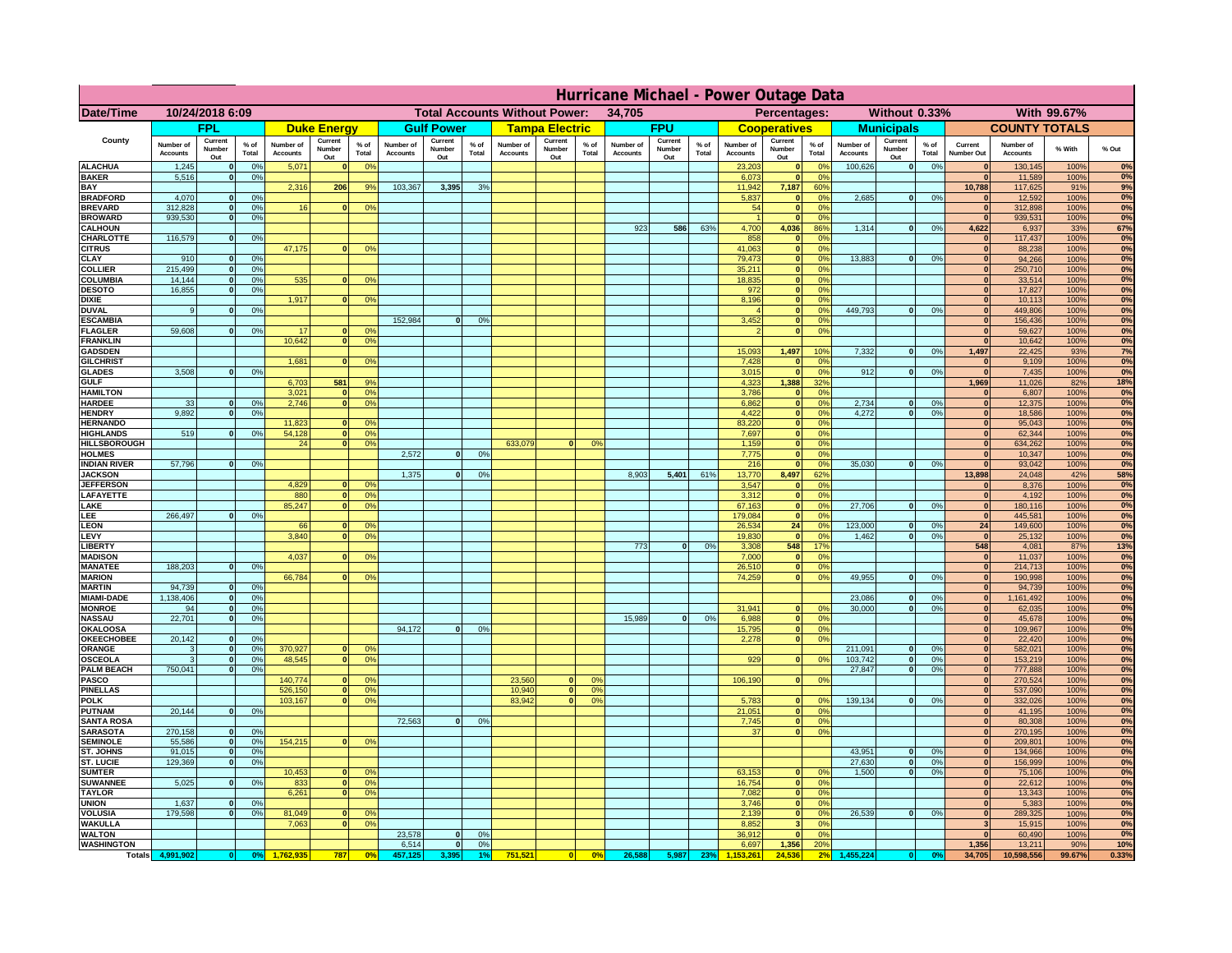|                                    | Hurricane Michael - Power Outage Data |                              |                      |                              |                                 |                                                |                       |                          |                      |                              |                                              |                 |                              |                          |               |                              |                          |                                               |                              |                          |                 |                              |                              |               |              |
|------------------------------------|---------------------------------------|------------------------------|----------------------|------------------------------|---------------------------------|------------------------------------------------|-----------------------|--------------------------|----------------------|------------------------------|----------------------------------------------|-----------------|------------------------------|--------------------------|---------------|------------------------------|--------------------------|-----------------------------------------------|------------------------------|--------------------------|-----------------|------------------------------|------------------------------|---------------|--------------|
| Date/Time                          | 10/24/2018 6:09                       |                              |                      |                              |                                 | <b>Total Accounts Without Power:</b><br>34,705 |                       |                          |                      |                              | Without 0.33%<br>With 99.67%<br>Percentages: |                 |                              |                          |               |                              |                          |                                               |                              |                          |                 |                              |                              |               |              |
|                                    |                                       | <b>FPL</b>                   |                      |                              | <b>Duke Energy</b>              |                                                |                       | <b>Gulf Power</b>        |                      |                              | <b>Tampa Electric</b>                        |                 |                              | <b>FPU</b>               |               |                              | <b>Cooperatives</b>      |                                               |                              | <b>Municipals</b>        |                 |                              | <b>COUNTY TOTALS</b>         |               |              |
| County                             | Number of<br><b>Accounts</b>          | Current<br>Number<br>Out     | $%$ of<br>Total      | Number of<br><b>Accounts</b> | Current<br><b>Number</b><br>Out | $%$ of<br>Total                                | Number of<br>Accounts | Current<br>Number<br>Out | $%$ of<br>Total      | Number of<br><b>Accounts</b> | Current<br>Number<br>Out                     | $%$ of<br>Total | Number of<br><b>Accounts</b> | Current<br>Number<br>Out | % of<br>Total | Number of<br><b>Accounts</b> | Current<br>Number<br>Out | $%$ of<br><b>Total</b>                        | Number of<br><b>Accounts</b> | Current<br>Number<br>Out | $%$ of<br>Total | Current<br>Number Out        | Number of<br><b>Accounts</b> | % With        | % Out        |
| <b>ALACHUA</b><br><b>BAKER</b>     | 1,245<br>5,516                        | $\mathbf{0}$<br>$\mathbf{0}$ | 0%<br>0%             | 5,071                        |                                 | 0 <sup>9</sup>                                 |                       |                          |                      |                              |                                              |                 |                              |                          |               | 23,203<br>6,073              | $\bf{0}$<br>$\mathbf{0}$ | $^{\circ}$<br>0 <sup>9</sup>                  | 100,626                      | 0                        | 0%              | $\mathbf{0}$<br>$\mathbf{0}$ | 130,145<br>11,589            | 100%<br>100%  | 0%<br>0%     |
| BAY                                |                                       |                              |                      | 2,316                        | 206                             | 9%                                             | 103,367               | 3,395                    | 3%                   |                              |                                              |                 |                              |                          |               | 11,942                       | 7,187                    | 60%                                           |                              |                          |                 | 10,788                       | 117,625                      | 91%           | 9%           |
| <b>BRADFORD</b><br><b>BREVARD</b>  | 4,070<br>312.828                      | $\Omega$<br>$\mathbf{0}$     | 0%<br>0 <sup>9</sup> | 16                           |                                 | 0 <sup>o</sup>                                 |                       |                          |                      |                              |                                              |                 |                              |                          |               | 5,837<br>54                  | 0 <br> 0                 | 0 <sup>o</sup><br>0 <sup>9</sup>              | 2,685                        | 0                        | 0%              | $\Omega$<br>$\mathbf{0}$     | 12,592<br>312,898            | 100%<br>100%  | 0%<br>0%     |
| <b>BROWARD</b>                     | 939.530                               | $\mathbf{0}$                 | 0%                   |                              |                                 |                                                |                       |                          |                      |                              |                                              |                 |                              |                          |               |                              | 0                        | 0%                                            |                              |                          |                 | $\mathbf{0}$                 | 939,531                      | 100%          | 0%           |
| <b>CALHOUN</b><br>CHARLOTTE        | 116,579                               | $\mathbf{0}$                 | 0%                   |                              |                                 |                                                |                       |                          |                      |                              |                                              |                 | 923                          | 586                      | 63%           | 4,700<br>858                 | 4,036<br> 0              | 86%<br>0%                                     | 1,314                        | 0                        | 0%              | 4,622<br>$\mathbf{0}$        | 6,937<br>117,437             | 33%<br>100%   | 67%<br>0%    |
| <b>CITRUS</b>                      |                                       |                              |                      | 47,175                       |                                 | 0 <sup>o</sup>                                 |                       |                          |                      |                              |                                              |                 |                              |                          |               | 41.063                       | 0                        | 0 <sup>9</sup>                                |                              |                          |                 | $\mathbf{0}$                 | 88,238                       | 100%          | 0%           |
| CLAY                               | 910                                   |                              | 0 <sup>9</sup>       |                              |                                 |                                                |                       |                          |                      |                              |                                              |                 |                              |                          |               | 79,473                       | 0                        | 0%                                            | 13,883                       | 0                        | 0%              | $\bf{0}$                     | 94,266                       | 100%          | 0%           |
| <b>COLLIER</b><br>COLUMBIA         | 215,499<br>14,144                     |                              | 0%<br>0%             | 535                          |                                 | 0 <sup>o</sup>                                 |                       |                          |                      |                              |                                              |                 |                              |                          |               | 35,211<br>18,835             | 0 <br> 0                 | 0 <sup>9</sup><br>0 <sup>9</sup>              |                              |                          |                 | $\mathbf{0}$<br>$\mathbf{0}$ | 250,710<br>33,514            | 100%<br>100%  | 0%<br>0%     |
| <b>DESOTO</b>                      | 16,855                                |                              | 0%                   |                              |                                 |                                                |                       |                          |                      |                              |                                              |                 |                              |                          |               | 972                          | 0                        | 0 <sup>9</sup>                                |                              |                          |                 |                              | 17,827                       | 100%          | 0%           |
| <b>DIXIE</b><br><b>DUVAL</b>       | 9                                     |                              | 0 <sup>9</sup>       | 1,917                        |                                 | 0 <sup>o</sup>                                 |                       |                          |                      |                              |                                              |                 |                              |                          |               | 8,196                        | 0 <br> 0                 | 0 <sup>9</sup><br>0 <sup>9</sup>              | 449,793                      | 0                        | 0%              | $\mathbf{0}$                 | 10,113<br>449,806            | 100%<br>100%  | 0%<br>0%     |
| <b>ESCAMBIA</b>                    |                                       |                              |                      |                              |                                 |                                                | 152,984               | $\Omega$                 | 0 <sup>9</sup>       |                              |                                              |                 |                              |                          |               | 3,452                        | $\mathbf{0}$             | 0 <sup>o</sup>                                |                              |                          |                 | $\mathbf{0}$                 | 156,436                      | 100%          | 0%           |
| <b>FLAGLER</b><br><b>FRANKLIN</b>  | 59,608                                | $\mathbf{0}$                 | 0 <sup>9</sup>       | 17<br>10,642                 |                                 | 0 <sup>9</sup><br>0 <sup>9</sup>               |                       |                          |                      |                              |                                              |                 |                              |                          |               |                              | $\mathbf{0}$             | 0 <sup>9</sup>                                |                              |                          |                 | $\mathbf{0}$<br>$\mathbf{0}$ | 59,627<br>10,642             | 100%<br>100%  | 0%<br>0%     |
| <b>GADSDEN</b>                     |                                       |                              |                      |                              |                                 |                                                |                       |                          |                      |                              |                                              |                 |                              |                          |               | 15,093                       | 1,497                    | 10%                                           | 7,332                        | 0                        | 0%              | 1,497                        | 22,425                       | 93%           | 7%           |
| <b>GILCHRIST</b>                   |                                       |                              |                      | 1.681                        |                                 | 0 <sup>9</sup>                                 |                       |                          |                      |                              |                                              |                 |                              |                          |               | 7,428                        | $\mathbf{0}$             | 0 <sup>9</sup>                                |                              |                          |                 | $\mathbf{0}$                 | 9,109                        | 100%          | 0%           |
| <b>GLADES</b><br><b>GULF</b>       | 3.508                                 |                              | 0%                   | 6,703                        | 581                             | 9%                                             |                       |                          |                      |                              |                                              |                 |                              |                          |               | 3,015<br>4,323               | 0 <br>1,388              | 0%<br>32%                                     | 912                          | 0                        | 0%              | $\mathbf{0}$<br>1,969        | 7,435<br>11,026              | 100%<br>82%   | 0%<br>18%    |
| <b>HAMILTON</b>                    |                                       |                              |                      | 3,021                        |                                 | 0 <sup>9</sup>                                 |                       |                          |                      |                              |                                              |                 |                              |                          |               | 3,786                        | 0                        | 0%                                            |                              |                          |                 | 0                            | 6,807                        | 100%          | 0%           |
| <b>HARDEE</b><br><b>HENDRY</b>     | 33<br>9.892                           | $\mathbf{0}$<br>$\Omega$     | 0%<br>0 <sup>9</sup> | 2,746                        |                                 | 0 <sup>9</sup>                                 |                       |                          |                      |                              |                                              |                 |                              |                          |               | 6,862<br>4,422               |                          | 0 <br>0%<br> 0 <br>0%                         | 2,734<br>4.272               | $\mathbf{0}$<br> 0       | 0%<br>0%        | 0 <br> 0                     | 12,375<br>18,586             | 100%<br>100%  | 0%<br>0%     |
| <b>HERNANDO</b>                    |                                       |                              |                      | 11,823                       |                                 | 0 <sup>o</sup>                                 |                       |                          |                      |                              |                                              |                 |                              |                          |               | 83,220                       |                          | 0 <br>0 <sup>9</sup>                          |                              |                          |                 | 0                            | 95,043                       | 100%          | 0%           |
| <b>HIGHLANDS</b>                   | 519                                   | $\Omega$                     | 0%                   | 54,128<br>24                 |                                 | 0 <sup>9</sup><br>0 <sup>o</sup>               |                       |                          |                      | 633,079                      | $\Omega$                                     | 0 <sup>9</sup>  |                              |                          |               | 7,697                        |                          | 0 <br>0 <sup>9</sup><br> 0 <br>0 <sup>9</sup> |                              |                          |                 | 0 <br> 0                     | 62,344                       | 100%<br>100%  | 0%<br>0%     |
| HILLSBOROUGH<br><b>HOLMES</b>      |                                       |                              |                      |                              |                                 |                                                | 2,572                 | $\Omega$                 | 0 <sup>9</sup>       |                              |                                              |                 |                              |                          |               | 1,159<br>7,775               |                          | 0 <br>0 <sup>9</sup>                          |                              |                          |                 | $\mathbf{0}$                 | 634,262<br>10,347            | 100%          | 0%           |
| <b>INDIAN RIVER</b>                | 57,796                                |                              | 0%                   |                              |                                 |                                                |                       |                          |                      |                              |                                              |                 |                              |                          |               | 216                          | 0                        | 0 <sup>9</sup>                                | 35.030                       | 0                        | 0%              | $\mathbf{0}$                 | 93,042                       | 100%          | 0%           |
| <b>JACKSON</b><br><b>JEFFERSON</b> |                                       |                              |                      | 4.829                        |                                 | 0 <sup>9</sup>                                 | 1,375                 | $\Omega$                 | 0 <sup>9</sup>       |                              |                                              |                 | 8,903                        | 5,401                    | 61%           | 13,770<br>3.547              | 8,497<br>$\mathbf{0}$    | 62%<br>0%                                     |                              |                          |                 | 13,898<br>$\mathbf{0}$       | 24,048<br>8,376              | 42%<br>100%   | 58%<br>0%    |
| LAFAYETTE                          |                                       |                              |                      | 880                          | n.                              | 0 <sup>9</sup>                                 |                       |                          |                      |                              |                                              |                 |                              |                          |               | 3.312                        |                          | $\mathbf{0}$<br>0%                            |                              |                          |                 | 0                            | 4.192                        | 100%          | 0%           |
| LAKE<br>LEE                        | 266,497                               |                              | 0%                   | 85,247                       |                                 | 0%                                             |                       |                          |                      |                              |                                              |                 |                              |                          |               | 67,163<br>179,084            |                          | 0 <br>0%<br> 0 <br>0%                         | 27,706                       | $\mathbf{0}$             | 0%              | 0 <br> 0                     | 180,116<br>445,581           | 100%<br>100%  | 0%<br>0%     |
| <b>LEON</b>                        |                                       |                              |                      | 66                           |                                 | 0 <sup>9</sup>                                 |                       |                          |                      |                              |                                              |                 |                              |                          |               | 26,534                       | 24                       | 0%                                            | 123,000                      | $\mathbf{0}$             | 0%              | 24                           | 149,600                      | 100%          | $0\%$        |
| LEVY<br><b>LIBERT</b>              |                                       |                              |                      | 3,840                        |                                 | 0 <sup>o</sup>                                 |                       |                          |                      |                              |                                              |                 | 773                          | $\Omega$                 | 0%            | 19,830<br>3,308              | 0 <br>548                | 0%<br>17%                                     | 1,462                        | $\mathbf{0}$             | 0%              | 0 <br>548                    | 25,132<br>4,081              | 100%<br>87%   | 0%<br>13%    |
| <b>MADISON</b>                     |                                       |                              |                      | 4,037                        |                                 | 0 <sup>o</sup>                                 |                       |                          |                      |                              |                                              |                 |                              |                          |               | 7,000                        |                          | 0 <br>0%                                      |                              |                          |                 | 0                            | 11,037                       | 100%          | 0%           |
| <b>MANATEE</b>                     | 188,203                               | $\mathbf{0}$                 | 0 <sup>9</sup>       |                              |                                 |                                                |                       |                          |                      |                              |                                              |                 |                              |                          |               | 26,510                       |                          | 0%<br> 0                                      |                              |                          |                 | 0                            | 214,713                      | 100%          | 0%<br>0%     |
| <b>MARION</b><br><b>MARTIN</b>     | 94,739                                | $\mathbf{0}$                 | 0%                   | 66,784                       |                                 | 0 <sup>o</sup>                                 |                       |                          |                      |                              |                                              |                 |                              |                          |               | 74,259                       | $\Omega$                 | 0%                                            | 49,955                       | 0                        | 0%              | 0 <br> 0                     | 190,998<br>94,739            | 100%<br>100%  | 0%           |
| <b>MIAMI-DADE</b>                  | 1,138,406                             | 0                            | 0%                   |                              |                                 |                                                |                       |                          |                      |                              |                                              |                 |                              |                          |               |                              |                          |                                               | 23,086                       | 0                        | 0%              | 0                            | 1,161,492                    | 100%          | 0%           |
| <b>MONROE</b><br><b>NASSAU</b>     | 94<br>22,701                          | -ol<br> 0                    | 0%<br>0%             |                              |                                 |                                                |                       |                          |                      |                              |                                              |                 | 15,989                       | 0                        | 0%            | 31,941<br>6,988              | $\mathbf{0}$             | 0 <sup>9</sup><br> 0 <br>0%                   | 30,000                       | 0                        | 0%              | $\mathbf{0}$<br> 0           | 62,035<br>45,678             | 100%<br>100%  | 0%<br>0%     |
| <b>OKALOOSA</b>                    |                                       |                              |                      |                              |                                 |                                                | 94,172                | 0                        | 0%                   |                              |                                              |                 |                              |                          |               | 15,795                       |                          | 0%<br> 0                                      |                              |                          |                 | 0                            | 109,967                      | 100%          | 0%           |
| <b>OKEECHOBEE</b><br>ORANGE        | 20,142<br>3                           | 0<br> 0                      | 0%<br>0%             | 370,927                      |                                 | 0 <sup>9</sup>                                 |                       |                          |                      |                              |                                              |                 |                              |                          |               | 2,278                        |                          | 0%<br> 0                                      | 211,091                      | 0                        | 0%              | 0 <br> 0                     | 22,420<br>582,021            | 100%<br>100%  | 0%<br>0%     |
| <b>OSCEOLA</b>                     | 3                                     | 0                            | 0%                   | 48,545                       | $\mathbf{0}$                    | 0%                                             |                       |                          |                      |                              |                                              |                 |                              |                          |               | 929                          |                          | 0 <br>0%                                      | 103,742                      | 0                        | 0%              | 0                            | 153,219                      | 100%          | 0%           |
| <b>PALM BEACH</b>                  | 750,041                               | 0                            | 0%                   |                              |                                 | 0 <sup>9</sup>                                 |                       |                          |                      |                              | $\mathbf{0}$                                 | O <sup>o</sup>  |                              |                          |               |                              |                          |                                               | 27,847                       | 0                        | 0%              | 0                            | 777,888                      | 100%          | 0%<br>0%     |
| <b>PASCO</b><br><b>PINELLAS</b>    |                                       |                              |                      | 140,774<br>526,150           | $\mathbf{0}$                    | 0%                                             |                       |                          |                      | 23,560<br>10,940             | 0                                            | 0 <sup>9</sup>  |                              |                          |               | 106,190                      |                          | 0%<br> 0                                      |                              |                          |                 | 0 <br> 0                     | 270,524<br>537,090           | 100%<br>100%  | 0%           |
| <b>POLK</b>                        |                                       |                              |                      | 103,167                      | $\Omega$                        | 0 <sup>9</sup>                                 |                       |                          |                      | 83,942                       | 0                                            | 0 <sup>o</sup>  |                              |                          |               | 5,783                        |                          | 0 <br>$^{\circ}$                              | 139,134                      | 0                        | 0%              | 0                            | 332,026                      | 100%          | 0%           |
| <b>PUTNAM</b><br><b>SANTA ROSA</b> | 20,144                                | 0                            | 0%                   |                              |                                 |                                                | 72,563                | 0                        | 0%                   |                              |                                              |                 |                              |                          |               | 21,051<br>7,745              |                          | 0 <sup>9</sup><br> 0 <br>0 <sup>9</sup><br> 0 |                              |                          |                 | 0 <br>$\Omega$               | 41,195<br>80,308             | 100%<br>100%  | 0%<br>0%     |
| <b>SARASOTA</b>                    | 270,158                               | 0                            | 0 <sup>9</sup>       |                              |                                 |                                                |                       |                          |                      |                              |                                              |                 |                              |                          |               | 37                           |                          | 0%<br> 0                                      |                              |                          |                 | $\mathbf{0}$                 | 270,195                      | 100%          | 0%           |
| <b>SEMINOLE</b><br>ST. JOHNS       | 55,586<br>91,015                      | 0 <br> 0                     | 0 <sup>9</sup><br>0% | 154,215                      | $\mathbf{0}$                    | 0 <sup>9</sup>                                 |                       |                          |                      |                              |                                              |                 |                              |                          |               |                              |                          |                                               | 43,951                       | 0                        | 0%              | 0 <br>$\mathbf{0}$           | 209,801<br>134,966           | 100%<br>100%  | 0%<br>0%     |
| ST. LUCIE                          | 129,369                               | $\mathbf{0}$                 | 0%                   |                              |                                 |                                                |                       |                          |                      |                              |                                              |                 |                              |                          |               |                              |                          |                                               | 27,630                       | 0                        | 0%              | $\mathbf{0}$                 | 156,999                      | 100%          | 0%           |
| <b>SUMTER</b>                      |                                       |                              |                      | 10,453                       |                                 | 0 <sup>9</sup>                                 |                       |                          |                      |                              |                                              |                 |                              |                          |               | 63,153                       | $\mathbf{0}$             | 0 <sup>9</sup>                                | 1.500                        | 0                        | 0%              | $\Omega$                     | 75,106                       | 100%          | 0%           |
| <b>SUWANNEE</b><br><b>TAYLOR</b>   | 5,025                                 | $\Omega$                     | 0%                   | 833<br>6,261                 | $\mathbf{0}$                    | 0 <sup>9</sup><br>0%                           |                       |                          |                      |                              |                                              |                 |                              |                          |               | 16,754<br>7,082              | 0                        | 0 <br>0%<br>0%                                |                              |                          |                 | $\mathbf{0}$<br> 0           | 22,612<br>13,343             | 100%<br>100%  | 0%<br>0%     |
| <b>UNION</b>                       | 1.637                                 | $\mathbf{0}$                 | 0%                   |                              |                                 |                                                |                       |                          |                      |                              |                                              |                 |                              |                          |               | 3.746                        |                          | 0%<br> 0                                      |                              |                          |                 | $\mathbf{0}$                 | 5,383                        | 100%          | $0\%$        |
| <b>VOLUSIA</b><br><b>WAKULLA</b>   | 179.598                               | $\mathbf{0}$                 | 0%                   | 81,049<br>7,063              |                                 | 0 <sup>9</sup><br>0 <sup>o</sup>               |                       |                          |                      |                              |                                              |                 |                              |                          |               | 2.139<br>8,852               | 3 <sup>1</sup>           | 0 <br>0%<br>0%                                | 26.539                       | 0                        | 0%              | $\mathbf{0}$                 | 289,325<br>15,915            | 100%<br>100%  | 0%<br>0%     |
| <b>WALTON</b>                      |                                       |                              |                      |                              |                                 |                                                | 23,578                | 0                        | 0 <sup>9</sup>       |                              |                                              |                 |                              |                          |               | 36,912                       | 0                        | 0%                                            |                              |                          |                 | 0                            | 60,490                       | 100%          | 0%           |
| <b>WASHINGTON</b><br><b>Totals</b> | 4,991,902                             | 0                            | 0 <sup>o</sup>       |                              | 787                             | 0 <sup>5</sup>                                 | 6,514<br>457,125      | 0 <br>3,395              | 0%<br>1 <sup>9</sup> | 751,521                      | 0                                            | 0%              | 26,588                       | 5,987                    | 23%           | 6,697                        | 1,356                    | 20%                                           | 455,224                      |                          | 0 <sup>o</sup>  | 1,356<br>34,705              | 13,211<br>10,598,556         | 90%<br>99.67% | 10%<br>0.33% |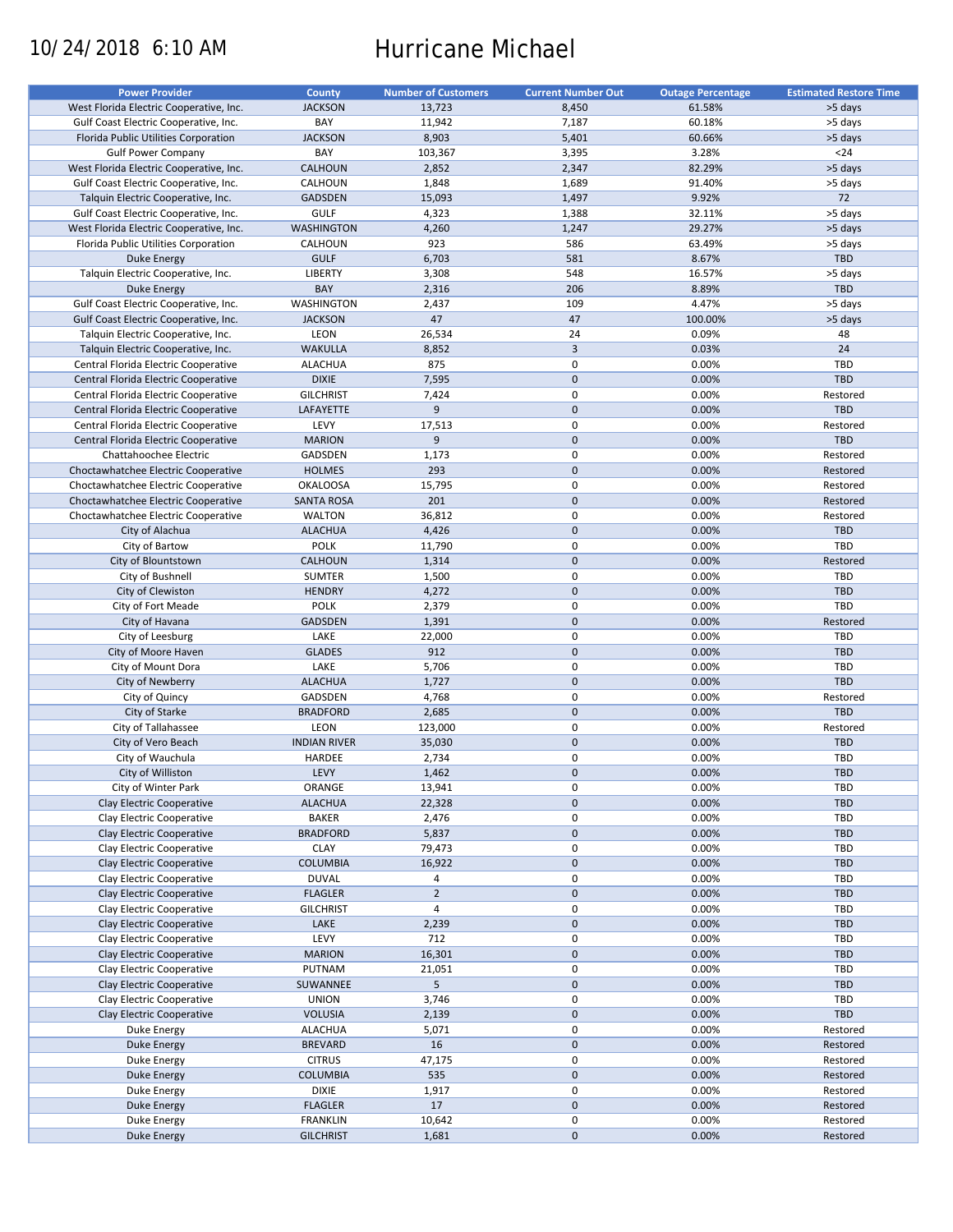# 10/24/2018 6:10 AM Hurricane Michael

| <b>Power Provider</b>                   | <b>County</b>       | <b>Number of Customers</b> | <b>Current Number Out</b> | <b>Outage Percentage</b> | <b>Estimated Restore Time</b> |
|-----------------------------------------|---------------------|----------------------------|---------------------------|--------------------------|-------------------------------|
| West Florida Electric Cooperative, Inc. | <b>JACKSON</b>      | 13,723                     | 8,450                     | 61.58%                   | >5 days                       |
| Gulf Coast Electric Cooperative, Inc.   | BAY                 | 11,942                     | 7,187                     | 60.18%                   | >5 days                       |
| Florida Public Utilities Corporation    | <b>JACKSON</b>      | 8,903                      | 5,401                     | 60.66%                   | >5 days                       |
|                                         | BAY                 |                            |                           |                          | $24$                          |
| <b>Gulf Power Company</b>               |                     | 103,367                    | 3,395                     | 3.28%                    |                               |
| West Florida Electric Cooperative, Inc. | <b>CALHOUN</b>      | 2,852                      | 2,347                     | 82.29%                   | >5 days                       |
| Gulf Coast Electric Cooperative, Inc.   | CALHOUN             | 1,848                      | 1,689                     | 91.40%                   | >5 days                       |
| Talquin Electric Cooperative, Inc.      | <b>GADSDEN</b>      | 15,093                     | 1,497                     | 9.92%                    | 72                            |
| Gulf Coast Electric Cooperative, Inc.   | <b>GULF</b>         | 4,323                      | 1,388                     | 32.11%                   | >5 days                       |
| West Florida Electric Cooperative, Inc. | <b>WASHINGTON</b>   | 4,260                      | 1,247                     | 29.27%                   | >5 days                       |
| Florida Public Utilities Corporation    | CALHOUN             | 923                        | 586                       | 63.49%                   | >5 days                       |
| Duke Energy                             | <b>GULF</b>         | 6,703                      | 581                       | 8.67%                    | TBD                           |
| Talquin Electric Cooperative, Inc.      | <b>LIBERTY</b>      | 3,308                      | 548                       | 16.57%                   | >5 days                       |
|                                         |                     |                            |                           |                          |                               |
| Duke Energy                             | BAY                 | 2,316                      | 206                       | 8.89%                    | TBD                           |
| Gulf Coast Electric Cooperative, Inc.   | <b>WASHINGTON</b>   | 2,437                      | 109                       | 4.47%                    | >5 days                       |
| Gulf Coast Electric Cooperative, Inc.   | <b>JACKSON</b>      | 47                         | 47                        | 100.00%                  | >5 days                       |
| Talquin Electric Cooperative, Inc.      | LEON                | 26,534                     | 24                        | 0.09%                    | 48                            |
| Talquin Electric Cooperative, Inc.      | <b>WAKULLA</b>      | 8,852                      | $\overline{3}$            | 0.03%                    | 24                            |
| Central Florida Electric Cooperative    | <b>ALACHUA</b>      | 875                        | $\mathbf 0$               | 0.00%                    | TBD                           |
| Central Florida Electric Cooperative    | <b>DIXIE</b>        | 7,595                      | $\mathbf 0$               | 0.00%                    | TBD                           |
| Central Florida Electric Cooperative    | <b>GILCHRIST</b>    | 7,424                      | $\mathbf 0$               | 0.00%                    | Restored                      |
|                                         |                     |                            |                           |                          |                               |
| Central Florida Electric Cooperative    | LAFAYETTE           | 9                          | $\mathbf 0$               | 0.00%                    | TBD                           |
| Central Florida Electric Cooperative    | LEVY                | 17,513                     | $\pmb{0}$                 | 0.00%                    | Restored                      |
| Central Florida Electric Cooperative    | <b>MARION</b>       | 9                          | $\mathbf 0$               | 0.00%                    | TBD                           |
| Chattahoochee Electric                  | <b>GADSDEN</b>      | 1,173                      | $\mathbf 0$               | 0.00%                    | Restored                      |
| Choctawhatchee Electric Cooperative     | <b>HOLMES</b>       | 293                        | $\mathbf 0$               | 0.00%                    | Restored                      |
| Choctawhatchee Electric Cooperative     | <b>OKALOOSA</b>     | 15,795                     | $\mathbf 0$               | 0.00%                    | Restored                      |
| Choctawhatchee Electric Cooperative     | <b>SANTA ROSA</b>   | 201                        | $\mathbf 0$               | 0.00%                    | Restored                      |
| Choctawhatchee Electric Cooperative     | <b>WALTON</b>       | 36,812                     | $\mathbf 0$               | 0.00%                    | Restored                      |
|                                         |                     |                            | $\mathbf 0$               |                          |                               |
| City of Alachua                         | <b>ALACHUA</b>      | 4,426                      |                           | 0.00%                    | TBD                           |
| City of Bartow                          | <b>POLK</b>         | 11,790                     | $\pmb{0}$                 | 0.00%                    | TBD                           |
| City of Blountstown                     | <b>CALHOUN</b>      | 1,314                      | $\mathbf 0$               | 0.00%                    | Restored                      |
| City of Bushnell                        | <b>SUMTER</b>       | 1,500                      | $\mathbf 0$               | 0.00%                    | <b>TBD</b>                    |
| City of Clewiston                       | <b>HENDRY</b>       | 4,272                      | $\mathbf 0$               | 0.00%                    | <b>TBD</b>                    |
| City of Fort Meade                      | <b>POLK</b>         | 2,379                      | $\pmb{0}$                 | 0.00%                    | TBD                           |
| City of Havana                          | <b>GADSDEN</b>      | 1,391                      | $\mathbf 0$               | 0.00%                    | Restored                      |
| City of Leesburg                        | LAKE                | 22,000                     | 0                         | 0.00%                    | TBD                           |
| City of Moore Haven                     | <b>GLADES</b>       | 912                        | $\mathbf 0$               | 0.00%                    | TBD                           |
|                                         | LAKE                |                            | $\pmb{0}$                 | 0.00%                    | TBD                           |
| City of Mount Dora                      |                     | 5,706                      |                           |                          |                               |
| City of Newberry                        | <b>ALACHUA</b>      | 1,727                      | $\mathbf 0$               | 0.00%                    | TBD                           |
| City of Quincy                          | GADSDEN             | 4,768                      | 0                         | 0.00%                    | Restored                      |
| City of Starke                          | <b>BRADFORD</b>     | 2,685                      | $\mathbf 0$               | 0.00%                    | TBD                           |
| City of Tallahassee                     | LEON                | 123,000                    | $\pmb{0}$                 | 0.00%                    | Restored                      |
| City of Vero Beach                      | <b>INDIAN RIVER</b> | 35,030                     | $\mathbf 0$               | 0.00%                    | TBD                           |
| City of Wauchula                        | HARDEE              | 2,734                      | 0                         | 0.00%                    | <b>TBD</b>                    |
| City of Williston                       | LEVY                | 1,462                      | $\mathbf{0}$              | 0.00%                    | <b>TBD</b>                    |
|                                         | ORANGE              |                            | 0                         |                          | <b>TBD</b>                    |
| City of Winter Park                     |                     | 13,941                     |                           | 0.00%                    |                               |
| Clay Electric Cooperative               | <b>ALACHUA</b>      | 22,328                     | $\pmb{0}$                 | 0.00%                    | TBD                           |
| Clay Electric Cooperative               | <b>BAKER</b>        | 2,476                      | 0                         | 0.00%                    | <b>TBD</b>                    |
| Clay Electric Cooperative               | <b>BRADFORD</b>     | 5,837                      | $\mathbf 0$               | 0.00%                    | <b>TBD</b>                    |
| Clay Electric Cooperative               | <b>CLAY</b>         | 79,473                     | $\pmb{0}$                 | 0.00%                    | <b>TBD</b>                    |
| Clay Electric Cooperative               | COLUMBIA            | 16,922                     | $\pmb{0}$                 | 0.00%                    | <b>TBD</b>                    |
| Clay Electric Cooperative               | <b>DUVAL</b>        | 4                          | 0                         | 0.00%                    | <b>TBD</b>                    |
| Clay Electric Cooperative               | <b>FLAGLER</b>      | $\overline{2}$             | $\mathbf 0$               | 0.00%                    | <b>TBD</b>                    |
| Clay Electric Cooperative               | <b>GILCHRIST</b>    | $\overline{4}$             | $\pmb{0}$                 | 0.00%                    | <b>TBD</b>                    |
|                                         |                     |                            |                           |                          |                               |
| Clay Electric Cooperative               | LAKE                | 2,239                      | $\pmb{0}$                 | 0.00%                    | TBD                           |
| Clay Electric Cooperative               | LEVY                | 712                        | $\pmb{0}$                 | 0.00%                    | TBD                           |
| Clay Electric Cooperative               | <b>MARION</b>       | 16,301                     | $\pmb{0}$                 | 0.00%                    | <b>TBD</b>                    |
| Clay Electric Cooperative               | PUTNAM              | 21,051                     | $\pmb{0}$                 | 0.00%                    | <b>TBD</b>                    |
| Clay Electric Cooperative               | SUWANNEE            | 5                          | $\pmb{0}$                 | 0.00%                    | <b>TBD</b>                    |
| Clay Electric Cooperative               | <b>UNION</b>        | 3,746                      | $\pmb{0}$                 | 0.00%                    | <b>TBD</b>                    |
| Clay Electric Cooperative               | <b>VOLUSIA</b>      | 2,139                      | $\pmb{0}$                 | 0.00%                    | <b>TBD</b>                    |
| Duke Energy                             | <b>ALACHUA</b>      | 5,071                      | $\pmb{0}$                 | 0.00%                    | Restored                      |
|                                         |                     |                            |                           |                          |                               |
| <b>Duke Energy</b>                      | <b>BREVARD</b>      | 16                         | $\pmb{0}$                 | 0.00%                    | Restored                      |
| Duke Energy                             | <b>CITRUS</b>       | 47,175                     | $\pmb{0}$                 | 0.00%                    | Restored                      |
| <b>Duke Energy</b>                      | COLUMBIA            | 535                        | $\pmb{0}$                 | 0.00%                    | Restored                      |
| Duke Energy                             | <b>DIXIE</b>        | 1,917                      | 0                         | 0.00%                    | Restored                      |
| Duke Energy                             | <b>FLAGLER</b>      | 17                         | $\pmb{0}$                 | 0.00%                    | Restored                      |
| Duke Energy                             | <b>FRANKLIN</b>     | 10,642                     | 0                         | 0.00%                    | Restored                      |
| Duke Energy                             | <b>GILCHRIST</b>    | 1,681                      | $\pmb{0}$                 | 0.00%                    | Restored                      |
|                                         |                     |                            |                           |                          |                               |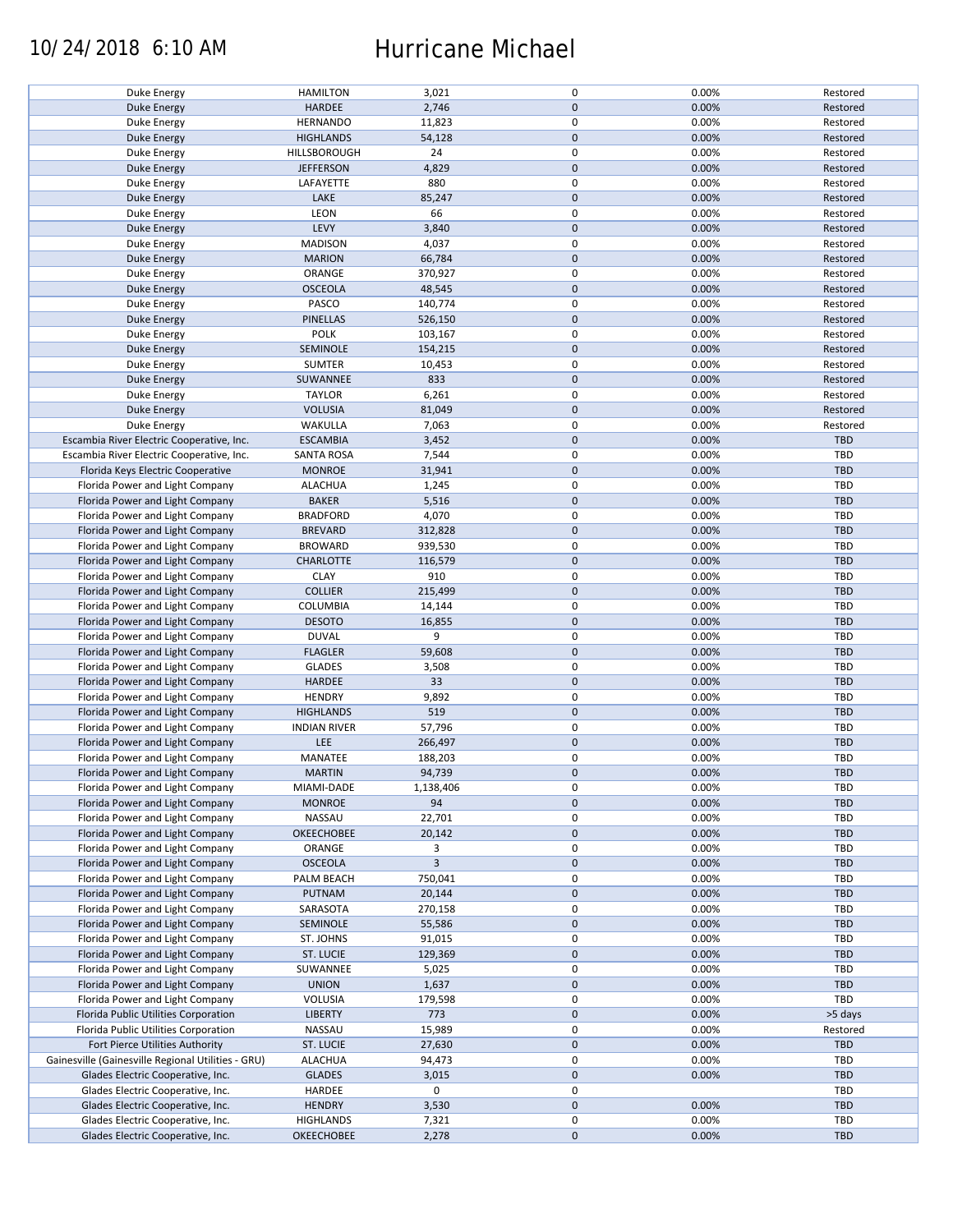## 10/24/2018 6:10 AM Hurricane Michael

| Duke Energy                                        | <b>HAMILTON</b>     | 3,021     | 0            | 0.00% | Restored   |
|----------------------------------------------------|---------------------|-----------|--------------|-------|------------|
| <b>Duke Energy</b>                                 | <b>HARDEE</b>       | 2,746     | $\mathbf 0$  | 0.00% | Restored   |
| Duke Energy                                        | <b>HERNANDO</b>     | 11,823    | 0            | 0.00% | Restored   |
|                                                    |                     |           |              |       |            |
| <b>Duke Energy</b>                                 | <b>HIGHLANDS</b>    | 54,128    | $\mathbf 0$  | 0.00% | Restored   |
| Duke Energy                                        | HILLSBOROUGH        | 24        | 0            | 0.00% | Restored   |
|                                                    |                     | 4,829     | $\mathbf 0$  |       |            |
| Duke Energy                                        | <b>JEFFERSON</b>    |           |              | 0.00% | Restored   |
| Duke Energy                                        | LAFAYETTE           | 880       | 0            | 0.00% | Restored   |
| <b>Duke Energy</b>                                 | LAKE                | 85,247    | $\mathbf 0$  | 0.00% | Restored   |
|                                                    |                     |           |              |       |            |
| <b>Duke Energy</b>                                 | LEON                | 66        | 0            | 0.00% | Restored   |
| <b>Duke Energy</b>                                 | LEVY                | 3,840     | $\mathbf 0$  | 0.00% | Restored   |
| Duke Energy                                        | <b>MADISON</b>      | 4,037     | 0            | 0.00% | Restored   |
|                                                    |                     |           |              |       |            |
| <b>Duke Energy</b>                                 | <b>MARION</b>       | 66,784    | $\mathbf 0$  | 0.00% | Restored   |
| Duke Energy                                        | ORANGE              | 370,927   | 0            | 0.00% | Restored   |
| <b>Duke Energy</b>                                 | <b>OSCEOLA</b>      | 48,545    | $\mathbf 0$  | 0.00% | Restored   |
|                                                    |                     |           |              |       |            |
| Duke Energy                                        | PASCO               | 140,774   | 0            | 0.00% | Restored   |
| <b>Duke Energy</b>                                 | PINELLAS            | 526,150   | $\mathbf 0$  | 0.00% | Restored   |
| <b>Duke Energy</b>                                 | <b>POLK</b>         | 103,167   | 0            | 0.00% | Restored   |
|                                                    |                     |           |              |       |            |
| <b>Duke Energy</b>                                 | SEMINOLE            | 154,215   | $\mathbf 0$  | 0.00% | Restored   |
| Duke Energy                                        | <b>SUMTER</b>       | 10,453    | 0            | 0.00% | Restored   |
| Duke Energy                                        | SUWANNEE            | 833       | $\mathbf 0$  | 0.00% | Restored   |
|                                                    |                     |           |              |       |            |
| Duke Energy                                        | <b>TAYLOR</b>       | 6,261     | 0            | 0.00% | Restored   |
| <b>Duke Energy</b>                                 | <b>VOLUSIA</b>      | 81,049    | $\mathbf 0$  | 0.00% | Restored   |
| Duke Energy                                        | WAKULLA             | 7,063     | 0            | 0.00% | Restored   |
|                                                    |                     |           |              |       |            |
| Escambia River Electric Cooperative, Inc.          | <b>ESCAMBIA</b>     | 3,452     | $\mathbf 0$  | 0.00% | TBD        |
| Escambia River Electric Cooperative, Inc.          | <b>SANTA ROSA</b>   | 7,544     | 0            | 0.00% | TBD        |
|                                                    |                     |           | $\mathbf 0$  | 0.00% | TBD        |
| Florida Keys Electric Cooperative                  | <b>MONROE</b>       | 31,941    |              |       |            |
| Florida Power and Light Company                    | <b>ALACHUA</b>      | 1,245     | 0            | 0.00% | TBD        |
| Florida Power and Light Company                    | <b>BAKER</b>        | 5,516     | $\mathbf 0$  | 0.00% | <b>TBD</b> |
|                                                    |                     |           | $\mathsf 0$  |       |            |
| Florida Power and Light Company                    | <b>BRADFORD</b>     | 4,070     |              | 0.00% | TBD        |
| Florida Power and Light Company                    | <b>BREVARD</b>      | 312,828   | $\mathbf 0$  | 0.00% | TBD        |
| Florida Power and Light Company                    | <b>BROWARD</b>      | 939,530   | 0            | 0.00% | TBD        |
|                                                    |                     |           |              |       |            |
| Florida Power and Light Company                    | <b>CHARLOTTE</b>    | 116,579   | $\mathbf 0$  | 0.00% | TBD        |
| Florida Power and Light Company                    | <b>CLAY</b>         | 910       | $\pmb{0}$    | 0.00% | TBD        |
| Florida Power and Light Company                    | <b>COLLIER</b>      | 215,499   | $\mathbf 0$  | 0.00% | TBD        |
|                                                    |                     |           |              |       |            |
| Florida Power and Light Company                    | COLUMBIA            | 14,144    | 0            | 0.00% | TBD        |
| Florida Power and Light Company                    | <b>DESOTO</b>       | 16,855    | $\mathbf 0$  | 0.00% | <b>TBD</b> |
| Florida Power and Light Company                    | <b>DUVAL</b>        | 9         | 0            | 0.00% | TBD        |
|                                                    |                     |           |              |       |            |
| Florida Power and Light Company                    | <b>FLAGLER</b>      | 59,608    | $\pmb{0}$    | 0.00% | <b>TBD</b> |
| Florida Power and Light Company                    | <b>GLADES</b>       | 3,508     | 0            | 0.00% | TBD        |
| Florida Power and Light Company                    | HARDEE              | 33        | $\mathbf 0$  | 0.00% | TBD        |
|                                                    |                     |           |              |       |            |
| Florida Power and Light Company                    | <b>HENDRY</b>       | 9,892     | 0            | 0.00% | TBD        |
| Florida Power and Light Company                    | <b>HIGHLANDS</b>    | 519       | $\mathbf 0$  | 0.00% | TBD        |
| Florida Power and Light Company                    | <b>INDIAN RIVER</b> | 57,796    | 0            | 0.00% | TBD        |
|                                                    |                     |           |              |       |            |
| Florida Power and Light Company                    | LEE                 | 266,497   | $\pmb{0}$    | 0.00% | <b>TBD</b> |
| Florida Power and Light Company                    | MANATEE             | 188,203   | 0            | 0.00% | TBD        |
| Florida Power and Light Company                    | <b>MARTIN</b>       | 94,739    | $\mathbf{0}$ | 0.00% | TBD        |
|                                                    |                     |           |              |       |            |
| Florida Power and Light Company                    | MIAMI-DADE          | 1,138,406 | 0            | 0.00% | TBD        |
| Florida Power and Light Company                    | <b>MONROE</b>       | 94        | $\mathbf 0$  | 0.00% | TBD        |
| Florida Power and Light Company                    | NASSAU              | 22,701    | 0            | 0.00% | TBD        |
|                                                    |                     |           |              |       |            |
| Florida Power and Light Company                    | <b>OKEECHOBEE</b>   | 20,142    | $\pmb{0}$    | 0.00% | TBD        |
| Florida Power and Light Company                    | ORANGE              | 3         | 0            | 0.00% | TBD        |
| Florida Power and Light Company                    | <b>OSCEOLA</b>      | 3         | $\mathbf 0$  | 0.00% | TBD        |
|                                                    |                     |           |              |       |            |
| Florida Power and Light Company                    | PALM BEACH          | 750,041   | 0            | 0.00% | TBD        |
| Florida Power and Light Company                    | PUTNAM              | 20,144    | $\pmb{0}$    | 0.00% | TBD        |
| Florida Power and Light Company                    | SARASOTA            | 270,158   | 0            | 0.00% | TBD        |
|                                                    |                     |           |              |       |            |
| Florida Power and Light Company                    | SEMINOLE            | 55,586    | $\mathbf 0$  | 0.00% | TBD        |
| Florida Power and Light Company                    | ST. JOHNS           | 91,015    | 0            | 0.00% | TBD        |
| Florida Power and Light Company                    |                     |           | $\pmb{0}$    | 0.00% |            |
|                                                    | ST. LUCIE           | 129,369   |              |       | TBD        |
| Florida Power and Light Company                    | SUWANNEE            | 5,025     | 0            | 0.00% | TBD        |
| Florida Power and Light Company                    | <b>UNION</b>        | 1,637     | $\mathbf 0$  | 0.00% | TBD        |
|                                                    |                     |           | 0            |       |            |
| Florida Power and Light Company                    | VOLUSIA             | 179,598   |              | 0.00% | TBD        |
| Florida Public Utilities Corporation               | <b>LIBERTY</b>      | 773       | $\mathbf 0$  | 0.00% | >5 days    |
| Florida Public Utilities Corporation               | NASSAU              | 15,989    | 0            | 0.00% | Restored   |
|                                                    |                     |           |              |       |            |
| Fort Pierce Utilities Authority                    | ST. LUCIE           | 27,630    | $\mathbf 0$  | 0.00% | TBD        |
| Gainesville (Gainesville Regional Utilities - GRU) | ALACHUA             | 94,473    | 0            | 0.00% | TBD        |
| Glades Electric Cooperative, Inc.                  | <b>GLADES</b>       | 3,015     | $\mathbf 0$  | 0.00% | TBD        |
|                                                    |                     |           |              |       |            |
| Glades Electric Cooperative, Inc.                  | HARDEE              | 0         | 0            |       | TBD        |
| Glades Electric Cooperative, Inc.                  | <b>HENDRY</b>       | 3,530     | $\mathbf 0$  | 0.00% | TBD        |
| Glades Electric Cooperative, Inc.                  | <b>HIGHLANDS</b>    | 7,321     | 0            | 0.00% | TBD        |
|                                                    |                     |           |              |       |            |
| Glades Electric Cooperative, Inc.                  | <b>OKEECHOBEE</b>   | 2,278     | $\mathbf 0$  | 0.00% | TBD        |